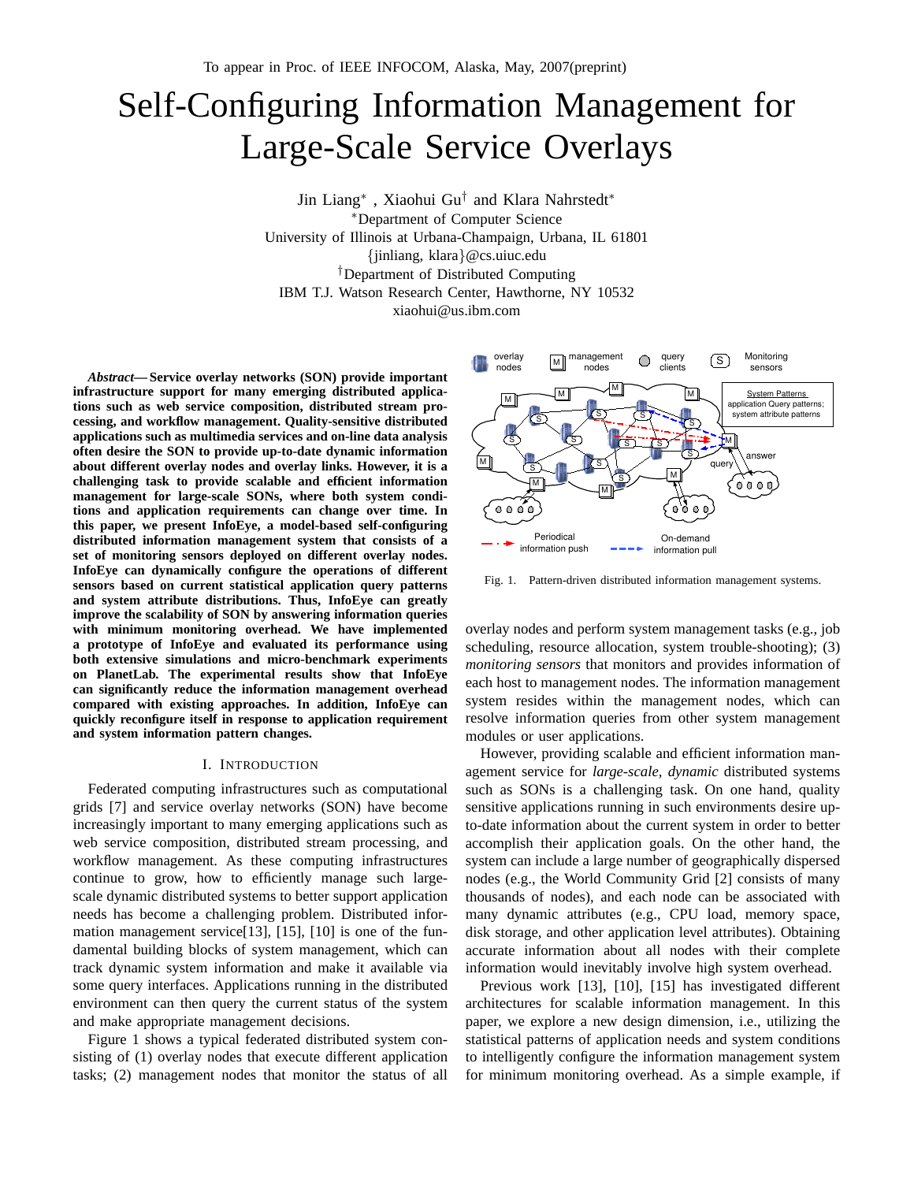# Self-Configuring Information Management for Large-Scale Service Overlays

Jin Liang<sup>∗</sup> , Xiaohui Gu† and Klara Nahrstedt<sup>∗</sup> <sup>∗</sup>Department of Computer Science

University of Illinois at Urbana-Champaign, Urbana, IL 61801

{jinliang, klara}@cs.uiuc.edu

†Department of Distributed Computing

IBM T.J. Watson Research Center, Hawthorne, NY 10532

xiaohui@us.ibm.com

*Abstract***— Service overlay networks (SON) provide important infrastructure support for many emerging distributed applications such as web service composition, distributed stream processing, and workflow management. Quality-sensitive distributed applications such as multimedia services and on-line data analysis often desire the SON to provide up-to-date dynamic information about different overlay nodes and overlay links. However, it is a challenging task to provide scalable and efficient information management for large-scale SONs, where both system conditions and application requirements can change over time. In this paper, we present InfoEye, a model-based self-configuring distributed information management system that consists of a set of monitoring sensors deployed on different overlay nodes. InfoEye can dynamically configure the operations of different sensors based on current statistical application query patterns and system attribute distributions. Thus, InfoEye can greatly improve the scalability of SON by answering information queries with minimum monitoring overhead. We have implemented a prototype of InfoEye and evaluated its performance using both extensive simulations and micro-benchmark experiments on PlanetLab. The experimental results show that InfoEye can significantly reduce the information management overhead compared with existing approaches. In addition, InfoEye can quickly reconfigure itself in response to application requirement and system information pattern changes.**

# I. INTRODUCTION

Federated computing infrastructures such as computational grids [7] and service overlay networks (SON) have become increasingly important to many emerging applications such as web service composition, distributed stream processing, and workflow management. As these computing infrastructures continue to grow, how to efficiently manage such largescale dynamic distributed systems to better support application needs has become a challenging problem. Distributed information management service[13], [15], [10] is one of the fundamental building blocks of system management, which can track dynamic system information and make it available via some query interfaces. Applications running in the distributed environment can then query the current status of the system and make appropriate management decisions.

Figure 1 shows a typical federated distributed system consisting of (1) overlay nodes that execute different application tasks; (2) management nodes that monitor the status of all



Fig. 1. Pattern-driven distributed information management systems.

overlay nodes and perform system management tasks (e.g., job scheduling, resource allocation, system trouble-shooting); (3) *monitoring sensors* that monitors and provides information of each host to management nodes. The information management system resides within the management nodes, which can resolve information queries from other system management modules or user applications.

However, providing scalable and efficient information management service for *large-scale, dynamic* distributed systems such as SONs is a challenging task. On one hand, quality sensitive applications running in such environments desire upto-date information about the current system in order to better accomplish their application goals. On the other hand, the system can include a large number of geographically dispersed nodes (e.g., the World Community Grid [2] consists of many thousands of nodes), and each node can be associated with many dynamic attributes (e.g., CPU load, memory space, disk storage, and other application level attributes). Obtaining accurate information about all nodes with their complete information would inevitably involve high system overhead.

Previous work [13], [10], [15] has investigated different architectures for scalable information management. In this paper, we explore a new design dimension, i.e., utilizing the statistical patterns of application needs and system conditions to intelligently configure the information management system for minimum monitoring overhead. As a simple example, if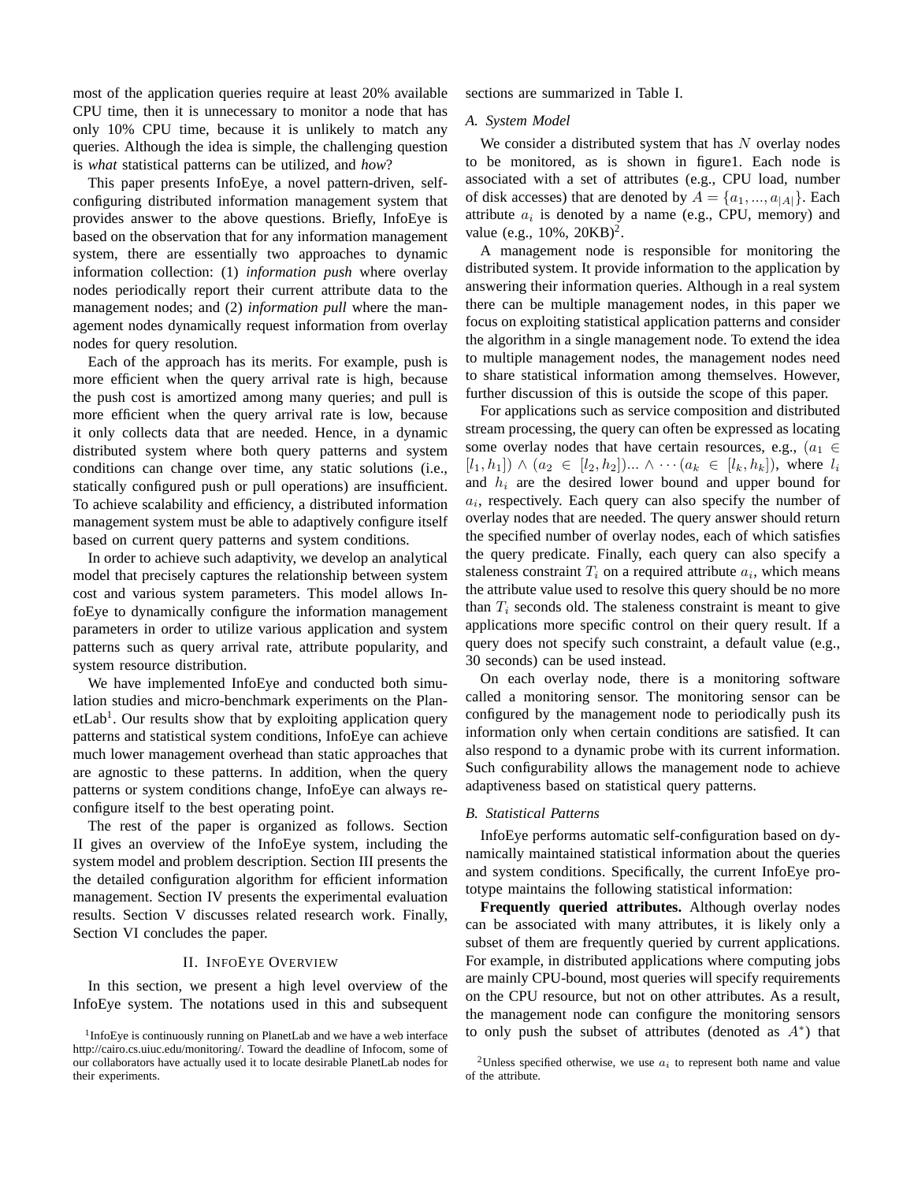most of the application queries require at least 20% available CPU time, then it is unnecessary to monitor a node that has only 10% CPU time, because it is unlikely to match any queries. Although the idea is simple, the challenging question is *what* statistical patterns can be utilized, and *how*?

This paper presents InfoEye, a novel pattern-driven, selfconfiguring distributed information management system that provides answer to the above questions. Briefly, InfoEye is based on the observation that for any information management system, there are essentially two approaches to dynamic information collection: (1) *information push* where overlay nodes periodically report their current attribute data to the management nodes; and (2) *information pull* where the management nodes dynamically request information from overlay nodes for query resolution.

Each of the approach has its merits. For example, push is more efficient when the query arrival rate is high, because the push cost is amortized among many queries; and pull is more efficient when the query arrival rate is low, because it only collects data that are needed. Hence, in a dynamic distributed system where both query patterns and system conditions can change over time, any static solutions (i.e., statically configured push or pull operations) are insufficient. To achieve scalability and efficiency, a distributed information management system must be able to adaptively configure itself based on current query patterns and system conditions.

In order to achieve such adaptivity, we develop an analytical model that precisely captures the relationship between system cost and various system parameters. This model allows InfoEye to dynamically configure the information management parameters in order to utilize various application and system patterns such as query arrival rate, attribute popularity, and system resource distribution.

We have implemented InfoEye and conducted both simulation studies and micro-benchmark experiments on the PlanetLab<sup>1</sup>. Our results show that by exploiting application query patterns and statistical system conditions, InfoEye can achieve much lower management overhead than static approaches that are agnostic to these patterns. In addition, when the query patterns or system conditions change, InfoEye can always reconfigure itself to the best operating point.

The rest of the paper is organized as follows. Section II gives an overview of the InfoEye system, including the system model and problem description. Section III presents the the detailed configuration algorithm for efficient information management. Section IV presents the experimental evaluation results. Section V discusses related research work. Finally, Section VI concludes the paper.

# II. INFOEYE OVERVIEW

In this section, we present a high level overview of the InfoEye system. The notations used in this and subsequent sections are summarized in Table I.

# *A. System Model*

We consider a distributed system that has  $N$  overlay nodes to be monitored, as is shown in figure1. Each node is associated with a set of attributes (e.g., CPU load, number of disk accesses) that are denoted by  $A = \{a_1, ..., a_{|A|}\}\.$  Each attribute  $a_i$  is denoted by a name (e.g., CPU, memory) and value (e.g.,  $10\%$ ,  $20KB)^2$ .

A management node is responsible for monitoring the distributed system. It provide information to the application by answering their information queries. Although in a real system there can be multiple management nodes, in this paper we focus on exploiting statistical application patterns and consider the algorithm in a single management node. To extend the idea to multiple management nodes, the management nodes need to share statistical information among themselves. However, further discussion of this is outside the scope of this paper.

For applications such as service composition and distributed stream processing, the query can often be expressed as locating some overlay nodes that have certain resources, e.g.,  $(a_1 \in$  $[l_1, h_1] \wedge (a_2 \in [l_2, h_2]) ... \wedge \cdots (a_k \in [l_k, h_k])$ , where  $l_i$ and  $h_i$  are the desired lower bound and upper bound for  $a_i$ , respectively. Each query can also specify the number of overlay nodes that are needed. The query answer should return the specified number of overlay nodes, each of which satisfies the query predicate. Finally, each query can also specify a staleness constraint  $T_i$  on a required attribute  $a_i$ , which means the attribute value used to resolve this query should be no more than  $T_i$  seconds old. The staleness constraint is meant to give applications more specific control on their query result. If a query does not specify such constraint, a default value (e.g., 30 seconds) can be used instead.

On each overlay node, there is a monitoring software called a monitoring sensor. The monitoring sensor can be configured by the management node to periodically push its information only when certain conditions are satisfied. It can also respond to a dynamic probe with its current information. Such configurability allows the management node to achieve adaptiveness based on statistical query patterns.

## *B. Statistical Patterns*

InfoEye performs automatic self-configuration based on dynamically maintained statistical information about the queries and system conditions. Specifically, the current InfoEye prototype maintains the following statistical information:

**Frequently queried attributes.** Although overlay nodes can be associated with many attributes, it is likely only a subset of them are frequently queried by current applications. For example, in distributed applications where computing jobs are mainly CPU-bound, most queries will specify requirements on the CPU resource, but not on other attributes. As a result, the management node can configure the monitoring sensors to only push the subset of attributes (denoted as  $A^*$ ) that

<sup>&</sup>lt;sup>1</sup>InfoEye is continuously running on PlanetLab and we have a web interface http://cairo.cs.uiuc.edu/monitoring/. Toward the deadline of Infocom, some of our collaborators have actually used it to locate desirable PlanetLab nodes for their experiments.

<sup>&</sup>lt;sup>2</sup>Unless specified otherwise, we use  $a_i$  to represent both name and value of the attribute.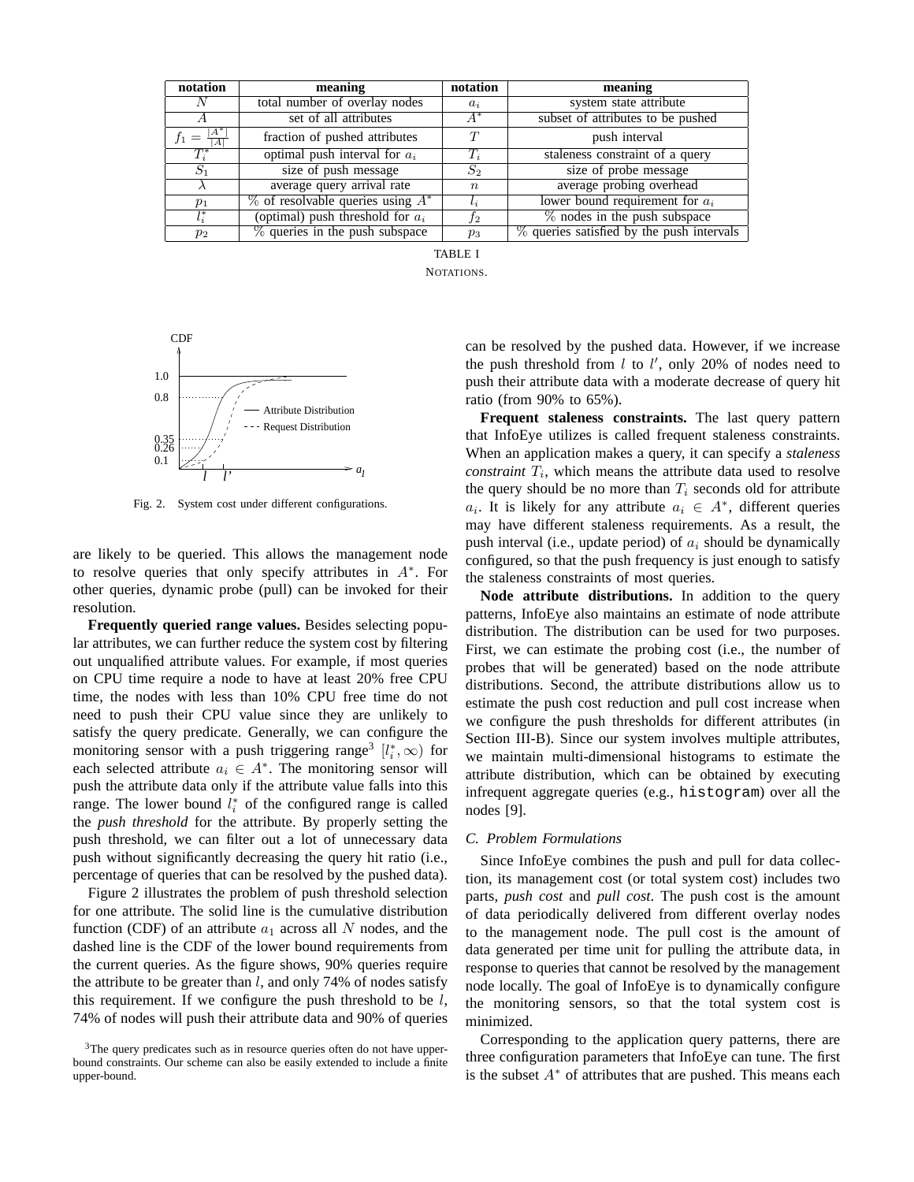| notation   | meaning                                | notation    | meaning                                      |
|------------|----------------------------------------|-------------|----------------------------------------------|
| N          | total number of overlay nodes          | $a_i$       | system state attribute                       |
|            | set of all attributes                  | $A^*$       | subset of attributes to be pushed            |
| .A"<br>$=$ | fraction of pushed attributes          | T           | push interval                                |
| $T_i^*$    | optimal push interval for $a_i$        | $T_i$       | staleness constraint of a query              |
| $S_1$      | size of push message                   | $S_2$       | size of probe message                        |
|            | average query arrival rate             | $n_{\rm c}$ | average probing overhead                     |
| $p_1$      | $\%$ of resolvable queries using $A^*$ | $l_i$       | lower bound requirement for $a_i$            |
| $l_i^*$    | (optimal) push threshold for $a_i$     | $_{f2}$     | $\%$ nodes in the push subspace              |
| $p_2$      | % queries in the push subspace         | $p_3$       | $\%$ queries satisfied by the push intervals |

TABLE I NOTATIONS.



Fig. 2. System cost under different configurations.

are likely to be queried. This allows the management node to resolve queries that only specify attributes in  $A^*$ . For other queries, dynamic probe (pull) can be invoked for their resolution.

**Frequently queried range values.** Besides selecting popular attributes, we can further reduce the system cost by filtering out unqualified attribute values. For example, if most queries on CPU time require a node to have at least 20% free CPU time, the nodes with less than 10% CPU free time do not need to push their CPU value since they are unlikely to satisfy the query predicate. Generally, we can configure the monitoring sensor with a push triggering range<sup>3</sup>  $[l_i^*, \infty)$  for each selected attribute  $a_i \in A^*$ . The monitoring sensor will push the attribute data only if the attribute value falls into this range. The lower bound  $l_i^*$  of the configured range is called the *push threshold* for the attribute. By properly setting the push threshold, we can filter out a lot of unnecessary data push without significantly decreasing the query hit ratio (i.e., percentage of queries that can be resolved by the pushed data).

Figure 2 illustrates the problem of push threshold selection for one attribute. The solid line is the cumulative distribution function (CDF) of an attribute  $a_1$  across all N nodes, and the dashed line is the CDF of the lower bound requirements from the current queries. As the figure shows, 90% queries require the attribute to be greater than  $l$ , and only 74% of nodes satisfy this requirement. If we configure the push threshold to be  $l$ , 74% of nodes will push their attribute data and 90% of queries

can be resolved by the pushed data. However, if we increase the push threshold from  $l$  to  $l'$ , only 20% of nodes need to push their attribute data with a moderate decrease of query hit ratio (from 90% to 65%).

**Frequent staleness constraints.** The last query pattern that InfoEye utilizes is called frequent staleness constraints. When an application makes a query, it can specify a *staleness*  $constraint T<sub>i</sub>$ , which means the attribute data used to resolve the query should be no more than  $T_i$  seconds old for attribute  $a_i$ . It is likely for any attribute  $a_i \in A^*$ , different queries may have different staleness requirements. As a result, the push interval (i.e., update period) of  $a_i$  should be dynamically configured, so that the push frequency is just enough to satisfy the staleness constraints of most queries.

**Node attribute distributions.** In addition to the query patterns, InfoEye also maintains an estimate of node attribute distribution. The distribution can be used for two purposes. First, we can estimate the probing cost (i.e., the number of probes that will be generated) based on the node attribute distributions. Second, the attribute distributions allow us to estimate the push cost reduction and pull cost increase when we configure the push thresholds for different attributes (in Section III-B). Since our system involves multiple attributes, we maintain multi-dimensional histograms to estimate the attribute distribution, which can be obtained by executing infrequent aggregate queries (e.g., histogram) over all the nodes [9].

# *C. Problem Formulations*

Since InfoEye combines the push and pull for data collection, its management cost (or total system cost) includes two parts, *push cost* and *pull cost*. The push cost is the amount of data periodically delivered from different overlay nodes to the management node. The pull cost is the amount of data generated per time unit for pulling the attribute data, in response to queries that cannot be resolved by the management node locally. The goal of InfoEye is to dynamically configure the monitoring sensors, so that the total system cost is minimized.

Corresponding to the application query patterns, there are three configuration parameters that InfoEye can tune. The first is the subset  $A^*$  of attributes that are pushed. This means each

 $3$ The query predicates such as in resource queries often do not have upperbound constraints. Our scheme can also be easily extended to include a finite upper-bound.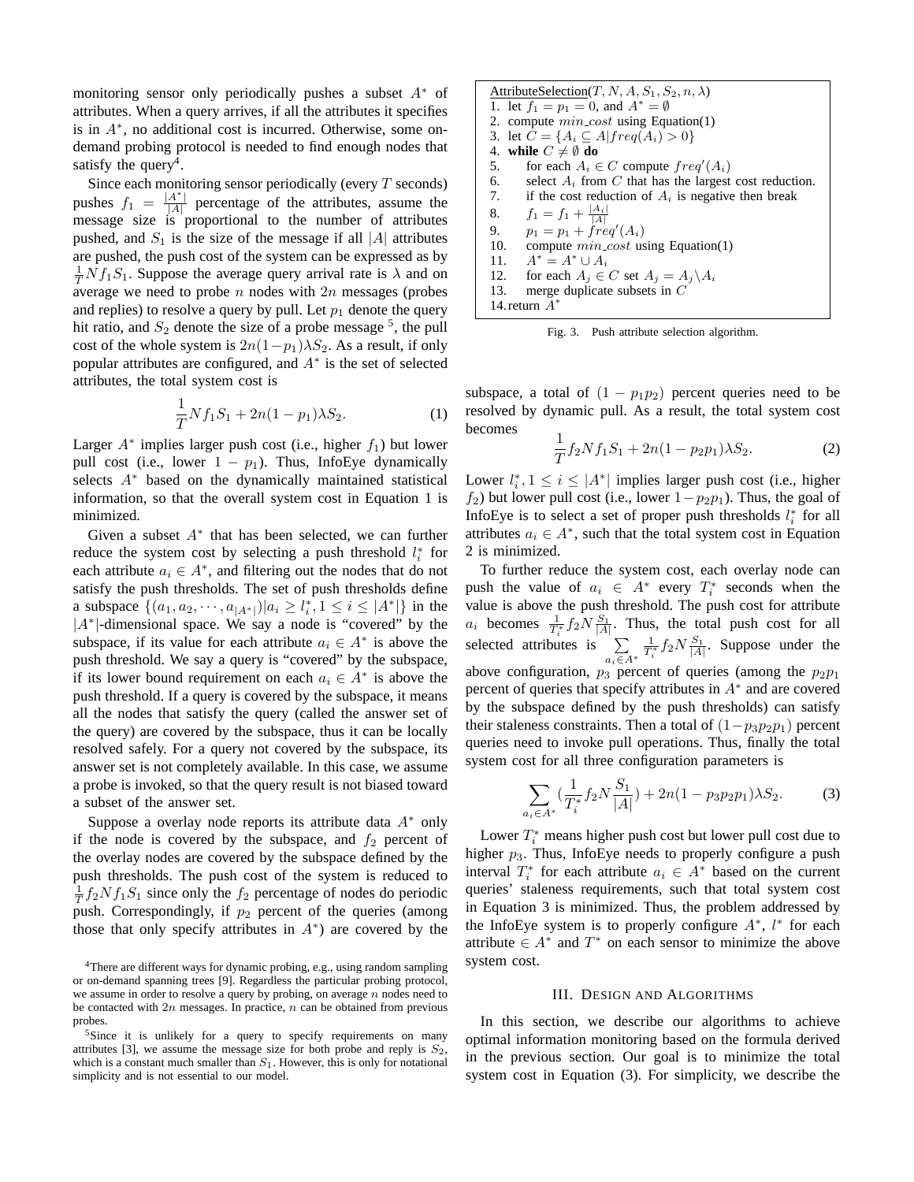monitoring sensor only periodically pushes a subset  $A^*$  of attributes. When a query arrives, if all the attributes it specifies is in A<sup>∗</sup> , no additional cost is incurred. Otherwise, some ondemand probing protocol is needed to find enough nodes that satisfy the query<sup>4</sup>.

Since each monitoring sensor periodically (every  $T$  seconds) pushes  $f_1 = \frac{|A^*|}{|A|}$  $\frac{A}{|A|}$  percentage of the attributes, assume the message size is proportional to the number of attributes pushed, and  $S_1$  is the size of the message if all |A| attributes are pushed, the push cost of the system can be expressed as by  $\frac{1}{T} N f_1 S_1$ . Suppose the average query arrival rate is  $\lambda$  and on average we need to probe  $n$  nodes with  $2n$  messages (probes and replies) to resolve a query by pull. Let  $p_1$  denote the query hit ratio, and  $S_2$  denote the size of a probe message  $<sup>5</sup>$ , the pull</sup> cost of the whole system is  $2n(1-p_1)\lambda S_2$ . As a result, if only popular attributes are configured, and  $A^*$  is the set of selected attributes, the total system cost is

$$
\frac{1}{T} N f_1 S_1 + 2n(1 - p_1) \lambda S_2.
$$
 (1)

Larger  $A^*$  implies larger push cost (i.e., higher  $f_1$ ) but lower pull cost (i.e., lower  $1 - p_1$ ). Thus, InfoEye dynamically selects  $A^*$  based on the dynamically maintained statistical information, so that the overall system cost in Equation 1 is minimized.

Given a subset  $A^*$  that has been selected, we can further reduce the system cost by selecting a push threshold  $l_i^*$  for each attribute  $a_i \in A^*$ , and filtering out the nodes that do not satisfy the push thresholds. The set of push thresholds define a subspace  $\{(a_1, a_2, \dots, a_{|A^*|}) | a_i \geq l_i^*, 1 \leq i \leq |A^*|\}$  in the |A<sup>∗</sup>|-dimensional space. We say a node is "covered" by the subspace, if its value for each attribute  $a_i \in A^*$  is above the push threshold. We say a query is "covered" by the subspace, if its lower bound requirement on each  $a_i \in A^*$  is above the push threshold. If a query is covered by the subspace, it means all the nodes that satisfy the query (called the answer set of the query) are covered by the subspace, thus it can be locally resolved safely. For a query not covered by the subspace, its answer set is not completely available. In this case, we assume a probe is invoked, so that the query result is not biased toward a subset of the answer set.

Suppose a overlay node reports its attribute data  $A^*$  only if the node is covered by the subspace, and  $f_2$  percent of the overlay nodes are covered by the subspace defined by the push thresholds. The push cost of the system is reduced to  $\frac{1}{T}f_2Nf_1S_1$  since only the  $f_2$  percentage of nodes do periodic push. Correspondingly, if  $p_2$  percent of the queries (among those that only specify attributes in  $A^*$ ) are covered by the

|                                                  | AttributeSelection(T, N, A, $S_1$ , $S_2$ , n, $\lambda$ )  |  |
|--------------------------------------------------|-------------------------------------------------------------|--|
|                                                  | 1. let $f_1 = p_1 = 0$ , and $A^* = \emptyset$              |  |
|                                                  | 2. compute $min\_cost$ using Equation(1)                    |  |
| 3. let $C = \{A_i \subseteq A   freq(A_i) > 0\}$ |                                                             |  |
| 4. while $C \neq \emptyset$ do                   |                                                             |  |
| 5.                                               | for each $A_i \in C$ compute $freq'(A_i)$                   |  |
|                                                  | 6. select $A_i$ from C that has the largest cost reduction. |  |
|                                                  | 7. if the cost reduction of $A_i$ is negative then break    |  |
|                                                  | 8. $f_1 = f_1 + \frac{ A_i }{ A }$                          |  |
| 9.                                               | $p_1 = p_1 + freq'(A_i)$                                    |  |
| 10.                                              | compute $min\_cost$ using Equation(1)                       |  |
| 11.                                              | $A^* = A^* \cup A_i$                                        |  |
| 12.                                              | for each $A_i \in C$ set $A_i = A_i \backslash A_i$         |  |
| 13.                                              | merge duplicate subsets in $C$                              |  |
|                                                  | 14. return $A^*$                                            |  |
|                                                  |                                                             |  |

Fig. 3. Push attribute selection algorithm.

subspace, a total of  $(1 - p_1p_2)$  percent queries need to be resolved by dynamic pull. As a result, the total system cost becomes

$$
\frac{1}{T}f_2Nf_1S_1 + 2n(1 - p_2p_1)\lambda S_2.
$$
 (2)

Lower  $l_i^*$ ,  $1 \le i \le |A^*|$  implies larger push cost (i.e., higher  $f_2$ ) but lower pull cost (i.e., lower  $1-p_2p_1$ ). Thus, the goal of InfoEye is to select a set of proper push thresholds  $l_i^*$  for all attributes  $a_i \in A^*$ , such that the total system cost in Equation 2 is minimized.

To further reduce the system cost, each overlay node can push the value of  $a_i \in A^*$  every  $T_i^*$  seconds when the value is above the push threshold. The push cost for attribute  $a_i$  becomes  $\frac{1}{T_i^*} f_2 N \frac{S_1}{|A|}$ . Thus, the total push cost for all selected attributes is  $\sum \frac{1}{T^*} f_2 N \frac{S_1}{|A|}$ . Suppose under the  $a_i \in A^*$  $\frac{1}{T_i^*} f_2 N \frac{S_1}{|A|}$ . Suppose under the above configuration,  $p_3$  percent of queries (among the  $p_2p_1$ percent of queries that specify attributes in  $A^*$  and are covered by the subspace defined by the push thresholds) can satisfy their staleness constraints. Then a total of  $(1-p_3p_2p_1)$  percent queries need to invoke pull operations. Thus, finally the total system cost for all three configuration parameters is

$$
\sum_{a_i \in A^*} \left( \frac{1}{T_i^*} f_2 N \frac{S_1}{|A|} \right) + 2n(1 - p_3 p_2 p_1) \lambda S_2.
$$
 (3)

Lower  $T_i^*$  means higher push cost but lower pull cost due to higher  $p_3$ . Thus, InfoEye needs to properly configure a push interval  $T_i^*$  for each attribute  $a_i \in A^*$  based on the current queries' staleness requirements, such that total system cost in Equation 3 is minimized. Thus, the problem addressed by the InfoEye system is to properly configure  $A^*$ ,  $l^*$  for each attribute  $\in A^*$  and  $T^*$  on each sensor to minimize the above system cost.

#### III. DESIGN AND ALGORITHMS

In this section, we describe our algorithms to achieve optimal information monitoring based on the formula derived in the previous section. Our goal is to minimize the total system cost in Equation (3). For simplicity, we describe the

<sup>4</sup>There are different ways for dynamic probing, e.g., using random sampling or on-demand spanning trees [9]. Regardless the particular probing protocol, we assume in order to resolve a query by probing, on average  $n$  nodes need to be contacted with  $2n$  messages. In practice,  $n$  can be obtained from previous probes.

<sup>&</sup>lt;sup>5</sup>Since it is unlikely for a query to specify requirements on many attributes [3], we assume the message size for both probe and reply is  $S_2$ , which is a constant much smaller than  $S_1$ . However, this is only for notational simplicity and is not essential to our model.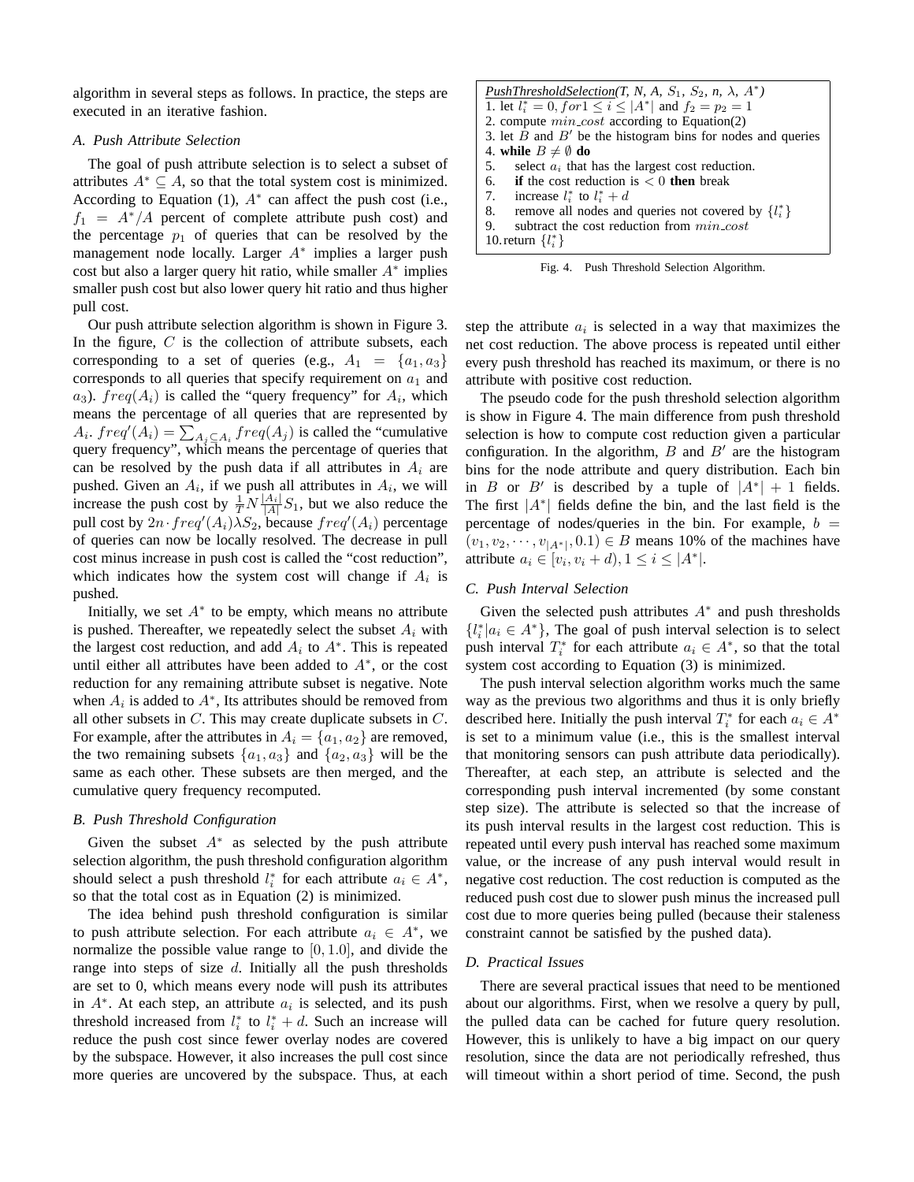algorithm in several steps as follows. In practice, the steps are executed in an iterative fashion.

## *A. Push Attribute Selection*

The goal of push attribute selection is to select a subset of attributes  $A^* \subseteq A$ , so that the total system cost is minimized. According to Equation (1),  $A^*$  can affect the push cost (i.e.,  $f_1 = A^*/A$  percent of complete attribute push cost) and the percentage  $p_1$  of queries that can be resolved by the management node locally. Larger A<sup>∗</sup> implies a larger push cost but also a larger query hit ratio, while smaller  $A^*$  implies smaller push cost but also lower query hit ratio and thus higher pull cost.

Our push attribute selection algorithm is shown in Figure 3. In the figure,  $C$  is the collection of attribute subsets, each corresponding to a set of queries (e.g.,  $A_1 = \{a_1, a_3\}$ corresponds to all queries that specify requirement on  $a_1$  and  $a_3$ ).  $freq(A_i)$  is called the "query frequency" for  $A_i$ , which means the percentage of all queries that are represented by means the percentage of an queries that are represented by  $A_i$ .  $freq'(A_i) = \sum_{A_j \subseteq A_i} freq(A_j)$  is called the "cumulative" query frequency", which means the percentage of queries that can be resolved by the push data if all attributes in  $A_i$  are pushed. Given an  $A_i$ , if we push all attributes in  $A_i$ , we will increase the push cost by  $\frac{1}{T}N\frac{|A_i|}{|A|}S_1$ , but we also reduce the pull cost by  $2n \cdot freq'(A_i) \overline{\lambda} S_2$ , because  $freq'(A_i)$  percentage of queries can now be locally resolved. The decrease in pull cost minus increase in push cost is called the "cost reduction", which indicates how the system cost will change if  $A_i$  is pushed.

Initially, we set  $A^*$  to be empty, which means no attribute is pushed. Thereafter, we repeatedly select the subset  $A_i$  with the largest cost reduction, and add  $A_i$  to  $A^*$ . This is repeated until either all attributes have been added to  $A^*$ , or the cost reduction for any remaining attribute subset is negative. Note when  $A_i$  is added to  $A^*$ , Its attributes should be removed from all other subsets in  $C$ . This may create duplicate subsets in  $C$ . For example, after the attributes in  $A_i = \{a_1, a_2\}$  are removed, the two remaining subsets  $\{a_1, a_3\}$  and  $\{a_2, a_3\}$  will be the same as each other. These subsets are then merged, and the cumulative query frequency recomputed.

# *B. Push Threshold Configuration*

Given the subset  $A^*$  as selected by the push attribute selection algorithm, the push threshold configuration algorithm should select a push threshold  $l_i^*$  for each attribute  $a_i \in A^*$ , so that the total cost as in Equation (2) is minimized.

The idea behind push threshold configuration is similar to push attribute selection. For each attribute  $a_i \in A^*$ , we normalize the possible value range to  $[0, 1.0]$ , and divide the range into steps of size  $d$ . Initially all the push thresholds are set to 0, which means every node will push its attributes in  $A^*$ . At each step, an attribute  $a_i$  is selected, and its push threshold increased from  $l_i^*$  to  $l_i^* + d$ . Such an increase will reduce the push cost since fewer overlay nodes are covered by the subspace. However, it also increases the pull cost since more queries are uncovered by the subspace. Thus, at each

| PushThresholdSelection(T, N, A, $S_1$ , $S_2$ , n, $\lambda$ , $A^*$ ) |  |  |
|------------------------------------------------------------------------|--|--|
| 1. let $l_i^* = 0$ , for $1 \le i \le  A^* $ and $f_2 = p_2 = 1$       |  |  |
| 2. compute $min\_cost$ according to Equation(2)                        |  |  |
| 3. let $B$ and $B'$ be the histogram bins for nodes and queries        |  |  |
| 4. while $B \neq \emptyset$ do                                         |  |  |
| 5.<br>select $a_i$ that has the largest cost reduction.                |  |  |
| 6. <b>if</b> the cost reduction is $\lt 0$ then break                  |  |  |
| 7. increase $l_i^*$ to $l_i^* + d$                                     |  |  |
| 8.<br>remove all nodes and queries not covered by $\{l_i^*\}$          |  |  |
| subtract the cost reduction from <i>min_cost</i><br>9.                 |  |  |
| 10. return $\{l_i^*\}$                                                 |  |  |

Fig. 4. Push Threshold Selection Algorithm.

step the attribute  $a_i$  is selected in a way that maximizes the net cost reduction. The above process is repeated until either every push threshold has reached its maximum, or there is no attribute with positive cost reduction.

The pseudo code for the push threshold selection algorithm is show in Figure 4. The main difference from push threshold selection is how to compute cost reduction given a particular configuration. In the algorithm,  $B$  and  $B'$  are the histogram bins for the node attribute and query distribution. Each bin in B or B' is described by a tuple of  $|A^*| + 1$  fields. The first  $|A^*|$  fields define the bin, and the last field is the percentage of nodes/queries in the bin. For example,  $b =$  $(v_1, v_2, \dots, v_{|A^*|}, 0.1) \in B$  means 10% of the machines have attribute  $a_i \in [v_i, v_i + d), 1 \le i \le |A^*|$ .

# *C. Push Interval Selection*

Given the selected push attributes  $A^*$  and push thresholds  $\{l_i^* | a_i \in A^*\}$ , The goal of push interval selection is to select push interval  $T_i^*$  for each attribute  $a_i \in A^*$ , so that the total system cost according to Equation (3) is minimized.

The push interval selection algorithm works much the same way as the previous two algorithms and thus it is only briefly described here. Initially the push interval  $T_i^*$  for each  $a_i \in A^*$ is set to a minimum value (i.e., this is the smallest interval that monitoring sensors can push attribute data periodically). Thereafter, at each step, an attribute is selected and the corresponding push interval incremented (by some constant step size). The attribute is selected so that the increase of its push interval results in the largest cost reduction. This is repeated until every push interval has reached some maximum value, or the increase of any push interval would result in negative cost reduction. The cost reduction is computed as the reduced push cost due to slower push minus the increased pull cost due to more queries being pulled (because their staleness constraint cannot be satisfied by the pushed data).

# *D. Practical Issues*

There are several practical issues that need to be mentioned about our algorithms. First, when we resolve a query by pull, the pulled data can be cached for future query resolution. However, this is unlikely to have a big impact on our query resolution, since the data are not periodically refreshed, thus will timeout within a short period of time. Second, the push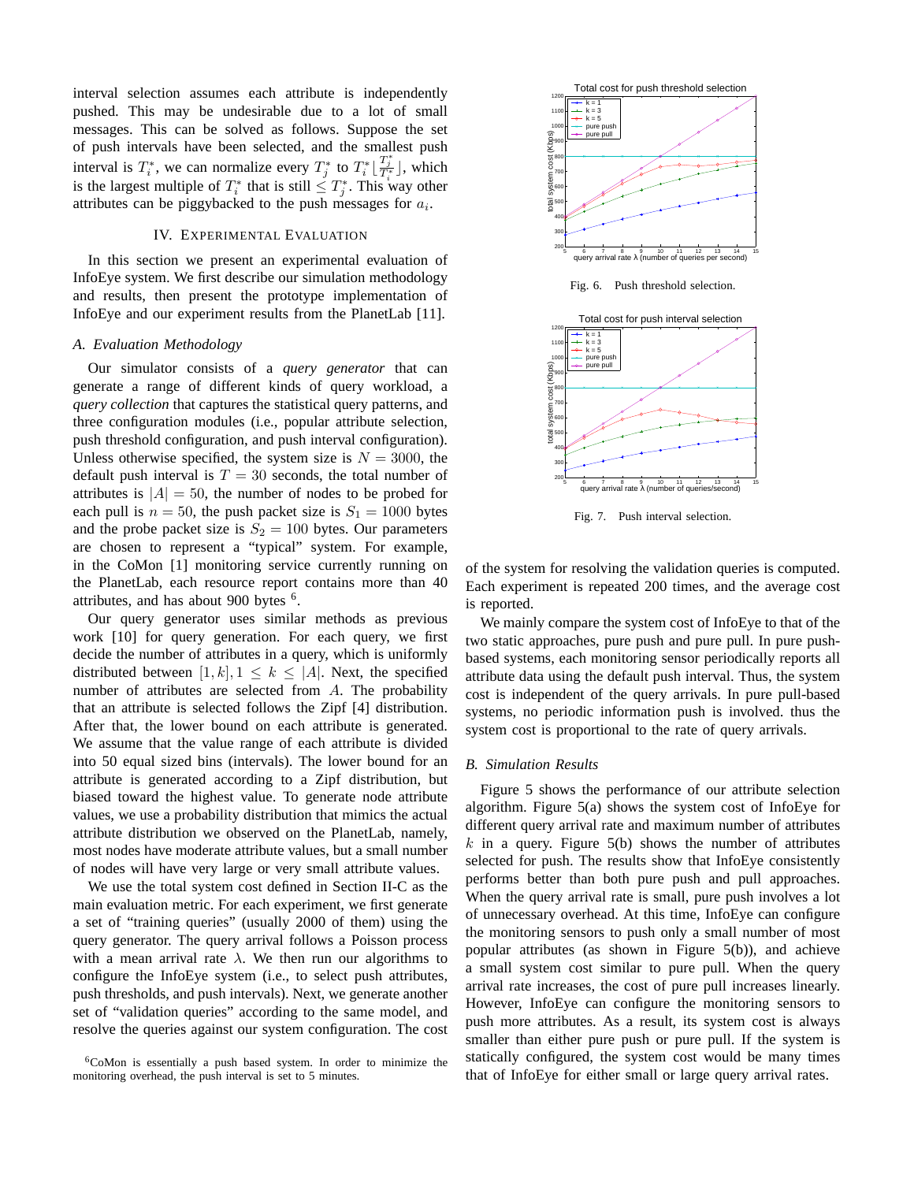interval selection assumes each attribute is independently pushed. This may be undesirable due to a lot of small messages. This can be solved as follows. Suppose the set of push intervals have been selected, and the smallest push interval is  $T_i^*$ , we can normalize every  $T_j^*$  to  $T_i^* \left\lfloor \frac{T_j^*}{T_i^*} \right\rfloor$ , which is the largest multiple of  $T_i^*$  that is still  $\leq T_j^*$ . This way other attributes can be piggybacked to the push messages for  $a_i$ .

#### IV. EXPERIMENTAL EVALUATION

In this section we present an experimental evaluation of InfoEye system. We first describe our simulation methodology and results, then present the prototype implementation of InfoEye and our experiment results from the PlanetLab [11].

#### *A. Evaluation Methodology*

Our simulator consists of a *query generator* that can generate a range of different kinds of query workload, a *query collection* that captures the statistical query patterns, and three configuration modules (i.e., popular attribute selection, push threshold configuration, and push interval configuration). Unless otherwise specified, the system size is  $N = 3000$ , the default push interval is  $T = 30$  seconds, the total number of attributes is  $|A| = 50$ , the number of nodes to be probed for each pull is  $n = 50$ , the push packet size is  $S_1 = 1000$  bytes and the probe packet size is  $S_2 = 100$  bytes. Our parameters are chosen to represent a "typical" system. For example, in the CoMon [1] monitoring service currently running on the PlanetLab, each resource report contains more than 40 attributes, and has about 900 bytes  $6$ .

Our query generator uses similar methods as previous work [10] for query generation. For each query, we first decide the number of attributes in a query, which is uniformly distributed between  $[1, k], 1 \leq k \leq |A|$ . Next, the specified number of attributes are selected from A. The probability that an attribute is selected follows the Zipf [4] distribution. After that, the lower bound on each attribute is generated. We assume that the value range of each attribute is divided into 50 equal sized bins (intervals). The lower bound for an attribute is generated according to a Zipf distribution, but biased toward the highest value. To generate node attribute values, we use a probability distribution that mimics the actual attribute distribution we observed on the PlanetLab, namely, most nodes have moderate attribute values, but a small number of nodes will have very large or very small attribute values.

We use the total system cost defined in Section II-C as the main evaluation metric. For each experiment, we first generate a set of "training queries" (usually 2000 of them) using the query generator. The query arrival follows a Poisson process with a mean arrival rate  $\lambda$ . We then run our algorithms to configure the InfoEye system (i.e., to select push attributes, push thresholds, and push intervals). Next, we generate another set of "validation queries" according to the same model, and resolve the queries against our system configuration. The cost



Fig. 7. Push interval selection.

of the system for resolving the validation queries is computed. Each experiment is repeated 200 times, and the average cost is reported.

We mainly compare the system cost of InfoEye to that of the two static approaches, pure push and pure pull. In pure pushbased systems, each monitoring sensor periodically reports all attribute data using the default push interval. Thus, the system cost is independent of the query arrivals. In pure pull-based systems, no periodic information push is involved. thus the system cost is proportional to the rate of query arrivals.

# *B. Simulation Results*

Figure 5 shows the performance of our attribute selection algorithm. Figure 5(a) shows the system cost of InfoEye for different query arrival rate and maximum number of attributes k in a query. Figure  $5(b)$  shows the number of attributes selected for push. The results show that InfoEye consistently performs better than both pure push and pull approaches. When the query arrival rate is small, pure push involves a lot of unnecessary overhead. At this time, InfoEye can configure the monitoring sensors to push only a small number of most popular attributes (as shown in Figure 5(b)), and achieve a small system cost similar to pure pull. When the query arrival rate increases, the cost of pure pull increases linearly. However, InfoEye can configure the monitoring sensors to push more attributes. As a result, its system cost is always smaller than either pure push or pure pull. If the system is statically configured, the system cost would be many times that of InfoEye for either small or large query arrival rates.

<sup>6</sup>CoMon is essentially a push based system. In order to minimize the monitoring overhead, the push interval is set to 5 minutes.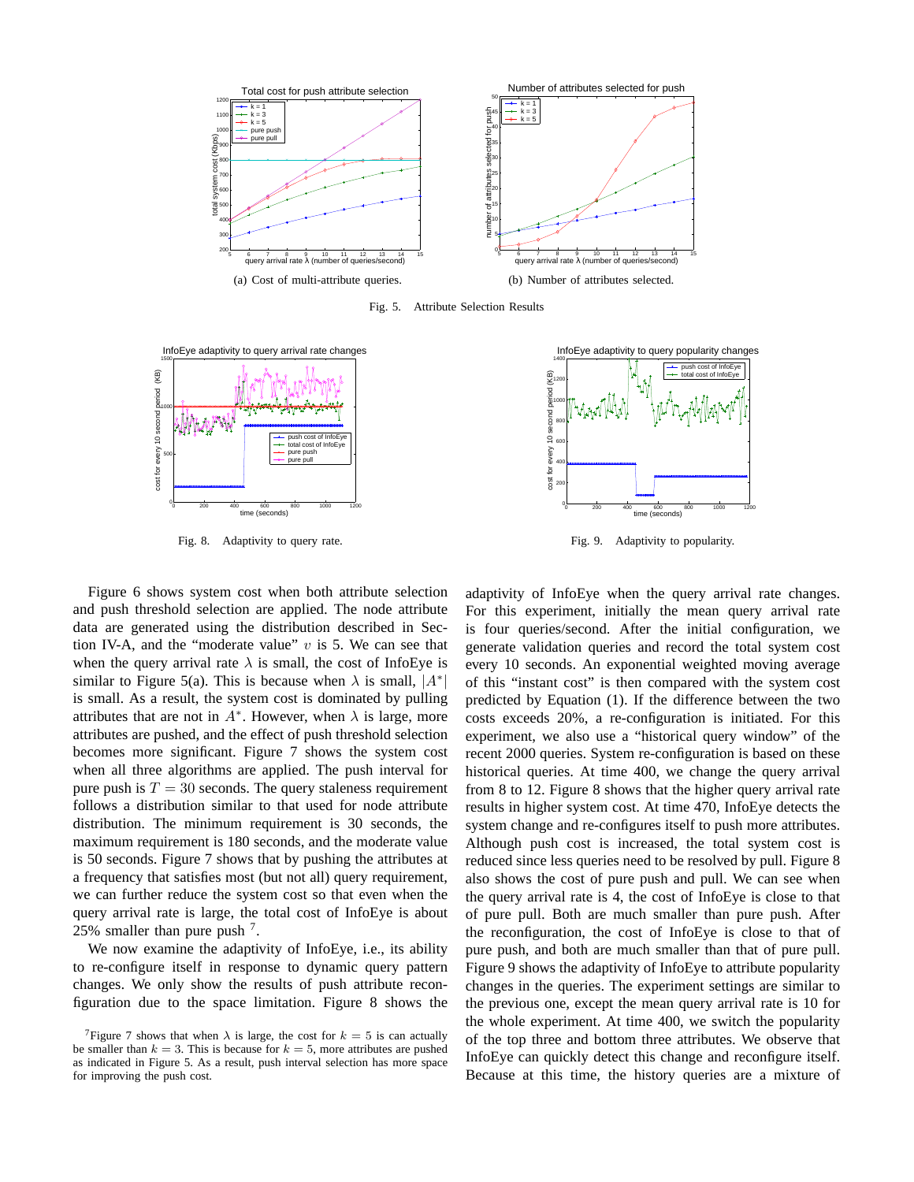

Fig. 5. Attribute Selection Results



Fig. 8. Adaptivity to query rate.

Figure 6 shows system cost when both attribute selection and push threshold selection are applied. The node attribute data are generated using the distribution described in Section IV-A, and the "moderate value"  $v$  is 5. We can see that when the query arrival rate  $\lambda$  is small, the cost of InfoEye is similar to Figure 5(a). This is because when  $\lambda$  is small,  $|A^*|$ is small. As a result, the system cost is dominated by pulling attributes that are not in  $A^*$ . However, when  $\lambda$  is large, more attributes are pushed, and the effect of push threshold selection becomes more significant. Figure 7 shows the system cost when all three algorithms are applied. The push interval for pure push is  $T = 30$  seconds. The query staleness requirement follows a distribution similar to that used for node attribute distribution. The minimum requirement is 30 seconds, the maximum requirement is 180 seconds, and the moderate value is 50 seconds. Figure 7 shows that by pushing the attributes at a frequency that satisfies most (but not all) query requirement, we can further reduce the system cost so that even when the query arrival rate is large, the total cost of InfoEye is about 25% smaller than pure push  $<sup>7</sup>$ .</sup>

We now examine the adaptivity of InfoEye, i.e., its ability to re-configure itself in response to dynamic query pattern changes. We only show the results of push attribute reconfiguration due to the space limitation. Figure 8 shows the



Fig. 9. Adaptivity to popularity.

adaptivity of InfoEye when the query arrival rate changes. For this experiment, initially the mean query arrival rate is four queries/second. After the initial configuration, we generate validation queries and record the total system cost every 10 seconds. An exponential weighted moving average of this "instant cost" is then compared with the system cost predicted by Equation (1). If the difference between the two costs exceeds 20%, a re-configuration is initiated. For this experiment, we also use a "historical query window" of the recent 2000 queries. System re-configuration is based on these historical queries. At time 400, we change the query arrival from 8 to 12. Figure 8 shows that the higher query arrival rate results in higher system cost. At time 470, InfoEye detects the system change and re-configures itself to push more attributes. Although push cost is increased, the total system cost is reduced since less queries need to be resolved by pull. Figure 8 also shows the cost of pure push and pull. We can see when the query arrival rate is 4, the cost of InfoEye is close to that of pure pull. Both are much smaller than pure push. After the reconfiguration, the cost of InfoEye is close to that of pure push, and both are much smaller than that of pure pull. Figure 9 shows the adaptivity of InfoEye to attribute popularity changes in the queries. The experiment settings are similar to the previous one, except the mean query arrival rate is 10 for the whole experiment. At time 400, we switch the popularity of the top three and bottom three attributes. We observe that InfoEye can quickly detect this change and reconfigure itself. Because at this time, the history queries are a mixture of

<sup>&</sup>lt;sup>7</sup>Figure 7 shows that when  $\lambda$  is large, the cost for  $k = 5$  is can actually be smaller than  $k = 3$ . This is because for  $k = 5$ , more attributes are pushed as indicated in Figure 5. As a result, push interval selection has more space for improving the push cost.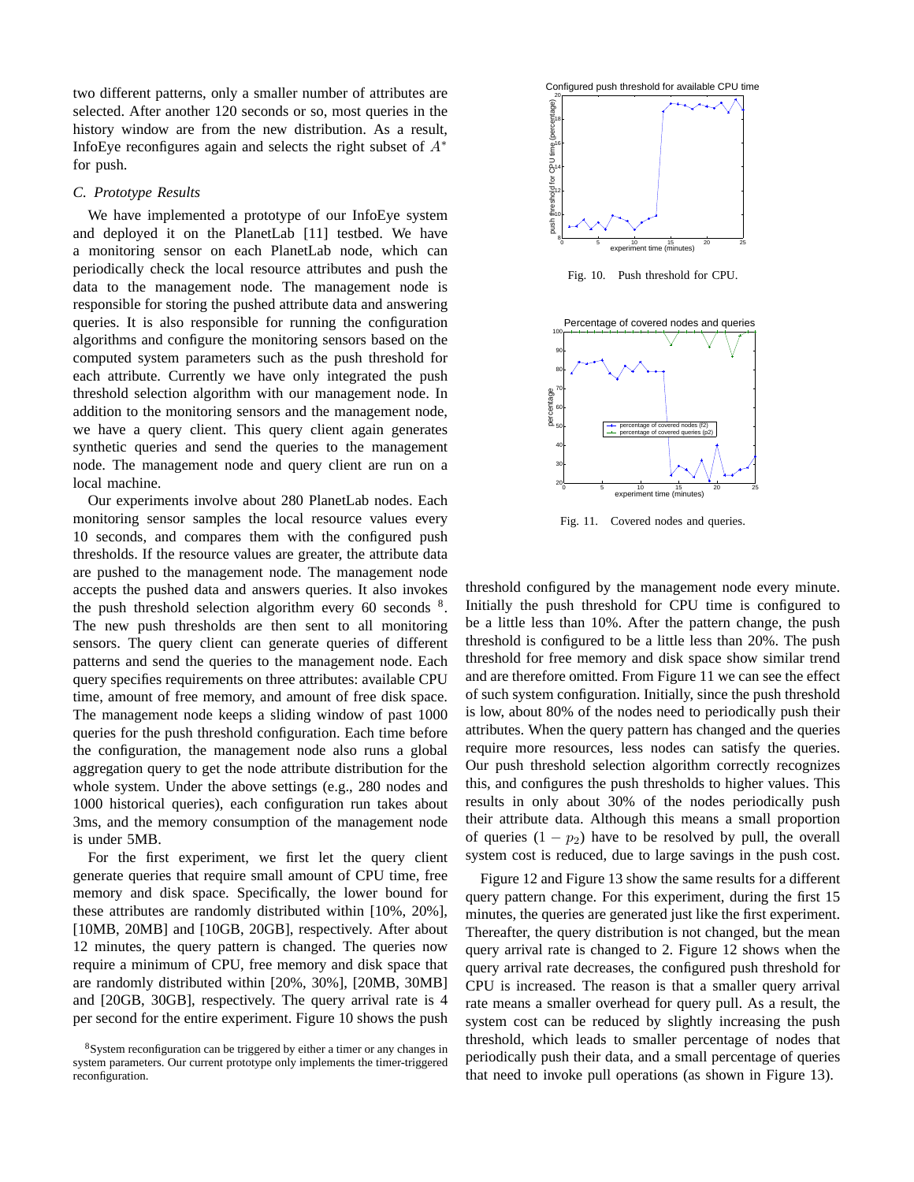two different patterns, only a smaller number of attributes are selected. After another 120 seconds or so, most queries in the history window are from the new distribution. As a result, InfoEye reconfigures again and selects the right subset of  $A^*$ for push.

#### *C. Prototype Results*

We have implemented a prototype of our InfoEye system and deployed it on the PlanetLab [11] testbed. We have a monitoring sensor on each PlanetLab node, which can periodically check the local resource attributes and push the data to the management node. The management node is responsible for storing the pushed attribute data and answering queries. It is also responsible for running the configuration algorithms and configure the monitoring sensors based on the computed system parameters such as the push threshold for each attribute. Currently we have only integrated the push threshold selection algorithm with our management node. In addition to the monitoring sensors and the management node, we have a query client. This query client again generates synthetic queries and send the queries to the management node. The management node and query client are run on a local machine.

Our experiments involve about 280 PlanetLab nodes. Each monitoring sensor samples the local resource values every 10 seconds, and compares them with the configured push thresholds. If the resource values are greater, the attribute data are pushed to the management node. The management node accepts the pushed data and answers queries. It also invokes the push threshold selection algorithm every 60 seconds <sup>8</sup>. The new push thresholds are then sent to all monitoring sensors. The query client can generate queries of different patterns and send the queries to the management node. Each query specifies requirements on three attributes: available CPU time, amount of free memory, and amount of free disk space. The management node keeps a sliding window of past 1000 queries for the push threshold configuration. Each time before the configuration, the management node also runs a global aggregation query to get the node attribute distribution for the whole system. Under the above settings (e.g., 280 nodes and 1000 historical queries), each configuration run takes about 3ms, and the memory consumption of the management node is under 5MB.

For the first experiment, we first let the query client generate queries that require small amount of CPU time, free memory and disk space. Specifically, the lower bound for these attributes are randomly distributed within [10%, 20%], [10MB, 20MB] and [10GB, 20GB], respectively. After about 12 minutes, the query pattern is changed. The queries now require a minimum of CPU, free memory and disk space that are randomly distributed within [20%, 30%], [20MB, 30MB] and [20GB, 30GB], respectively. The query arrival rate is 4 per second for the entire experiment. Figure 10 shows the push



Fig. 10. Push threshold for CPU.



Fig. 11. Covered nodes and queries.

threshold configured by the management node every minute. Initially the push threshold for CPU time is configured to be a little less than 10%. After the pattern change, the push threshold is configured to be a little less than 20%. The push threshold for free memory and disk space show similar trend and are therefore omitted. From Figure 11 we can see the effect of such system configuration. Initially, since the push threshold is low, about 80% of the nodes need to periodically push their attributes. When the query pattern has changed and the queries require more resources, less nodes can satisfy the queries. Our push threshold selection algorithm correctly recognizes this, and configures the push thresholds to higher values. This results in only about 30% of the nodes periodically push their attribute data. Although this means a small proportion of queries  $(1 - p_2)$  have to be resolved by pull, the overall system cost is reduced, due to large savings in the push cost.

Figure 12 and Figure 13 show the same results for a different query pattern change. For this experiment, during the first 15 minutes, the queries are generated just like the first experiment. Thereafter, the query distribution is not changed, but the mean query arrival rate is changed to 2. Figure 12 shows when the query arrival rate decreases, the configured push threshold for CPU is increased. The reason is that a smaller query arrival rate means a smaller overhead for query pull. As a result, the system cost can be reduced by slightly increasing the push threshold, which leads to smaller percentage of nodes that periodically push their data, and a small percentage of queries that need to invoke pull operations (as shown in Figure 13).

<sup>8</sup>System reconfiguration can be triggered by either a timer or any changes in system parameters. Our current prototype only implements the timer-triggered reconfiguration.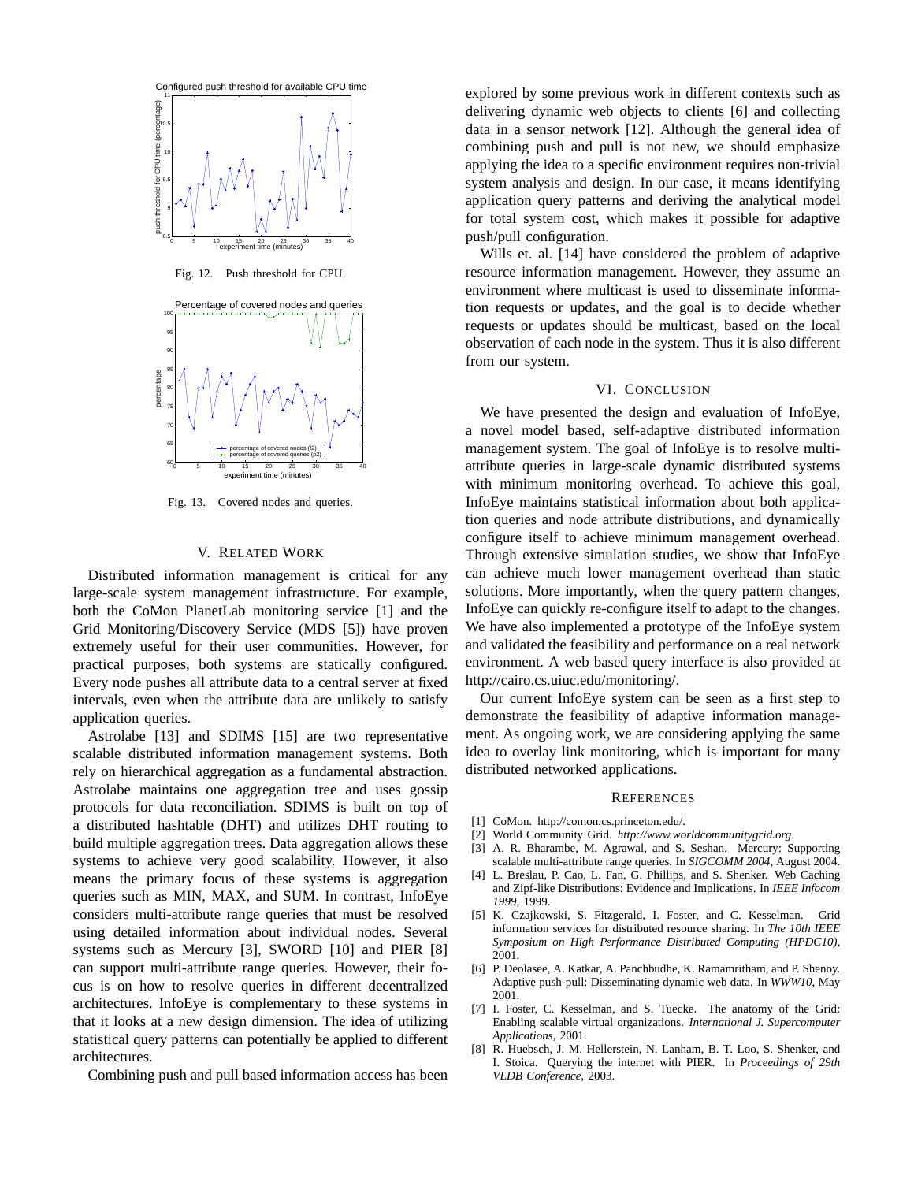

Fig. 13. Covered nodes and queries.

# V. RELATED WORK

Distributed information management is critical for any large-scale system management infrastructure. For example, both the CoMon PlanetLab monitoring service [1] and the Grid Monitoring/Discovery Service (MDS [5]) have proven extremely useful for their user communities. However, for practical purposes, both systems are statically configured. Every node pushes all attribute data to a central server at fixed intervals, even when the attribute data are unlikely to satisfy application queries.

Astrolabe [13] and SDIMS [15] are two representative scalable distributed information management systems. Both rely on hierarchical aggregation as a fundamental abstraction. Astrolabe maintains one aggregation tree and uses gossip protocols for data reconciliation. SDIMS is built on top of a distributed hashtable (DHT) and utilizes DHT routing to build multiple aggregation trees. Data aggregation allows these systems to achieve very good scalability. However, it also means the primary focus of these systems is aggregation queries such as MIN, MAX, and SUM. In contrast, InfoEye considers multi-attribute range queries that must be resolved using detailed information about individual nodes. Several systems such as Mercury [3], SWORD [10] and PIER [8] can support multi-attribute range queries. However, their focus is on how to resolve queries in different decentralized architectures. InfoEye is complementary to these systems in that it looks at a new design dimension. The idea of utilizing statistical query patterns can potentially be applied to different architectures.

Combining push and pull based information access has been

explored by some previous work in different contexts such as delivering dynamic web objects to clients [6] and collecting data in a sensor network [12]. Although the general idea of combining push and pull is not new, we should emphasize applying the idea to a specific environment requires non-trivial system analysis and design. In our case, it means identifying application query patterns and deriving the analytical model for total system cost, which makes it possible for adaptive push/pull configuration.

Wills et. al. [14] have considered the problem of adaptive resource information management. However, they assume an environment where multicast is used to disseminate information requests or updates, and the goal is to decide whether requests or updates should be multicast, based on the local observation of each node in the system. Thus it is also different from our system.

## VI. CONCLUSION

We have presented the design and evaluation of InfoEye, a novel model based, self-adaptive distributed information management system. The goal of InfoEye is to resolve multiattribute queries in large-scale dynamic distributed systems with minimum monitoring overhead. To achieve this goal, InfoEye maintains statistical information about both application queries and node attribute distributions, and dynamically configure itself to achieve minimum management overhead. Through extensive simulation studies, we show that InfoEye can achieve much lower management overhead than static solutions. More importantly, when the query pattern changes, InfoEye can quickly re-configure itself to adapt to the changes. We have also implemented a prototype of the InfoEye system and validated the feasibility and performance on a real network environment. A web based query interface is also provided at http://cairo.cs.uiuc.edu/monitoring/.

Our current InfoEye system can be seen as a first step to demonstrate the feasibility of adaptive information management. As ongoing work, we are considering applying the same idea to overlay link monitoring, which is important for many distributed networked applications.

#### **REFERENCES**

- [1] CoMon. http://comon.cs.princeton.edu/.
- [2] World Community Grid. *http://www.worldcommunitygrid.org*.
- [3] A. R. Bharambe, M. Agrawal, and S. Seshan. Mercury: Supporting scalable multi-attribute range queries. In *SIGCOMM 2004*, August 2004.
- [4] L. Breslau, P. Cao, L. Fan, G. Phillips, and S. Shenker. Web Caching and Zipf-like Distributions: Evidence and Implications. In *IEEE Infocom 1999*, 1999.
- [5] K. Czajkowski, S. Fitzgerald, I. Foster, and C. Kesselman. Grid information services for distributed resource sharing. In *The 10th IEEE Symposium on High Performance Distributed Computing (HPDC10)*, 2001.
- [6] P. Deolasee, A. Katkar, A. Panchbudhe, K. Ramamritham, and P. Shenoy. Adaptive push-pull: Disseminating dynamic web data. In *WWW10*, May 2001.
- [7] I. Foster, C. Kesselman, and S. Tuecke. The anatomy of the Grid: Enabling scalable virtual organizations. *International J. Supercomputer Applications*, 2001.
- [8] R. Huebsch, J. M. Hellerstein, N. Lanham, B. T. Loo, S. Shenker, and I. Stoica. Querying the internet with PIER. In *Proceedings of 29th VLDB Conference*, 2003.